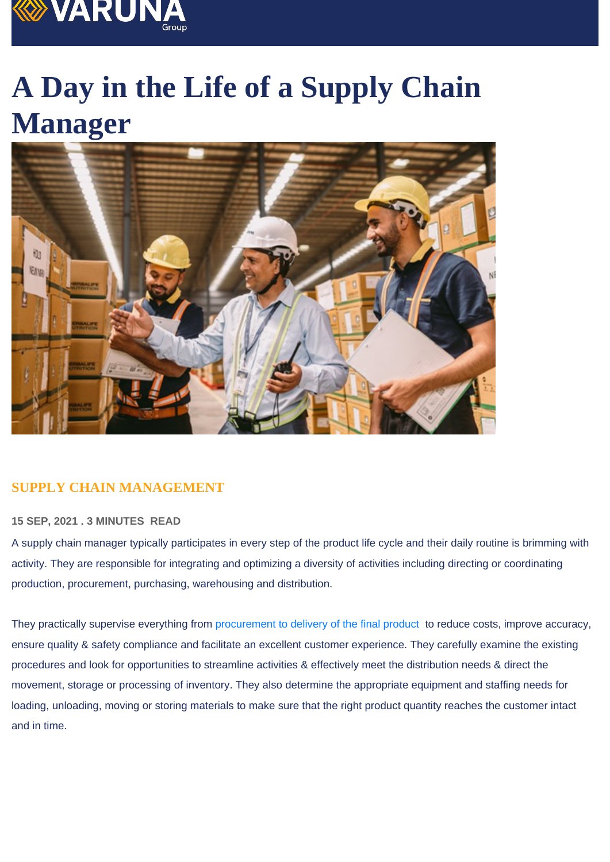## A Day in the Life of a Supply Chain Manager

## SUPPLY CHAIN MANAGEMENT

## 15 SEP, 2021 . 3 MINUTES READ

A supply chain manager typically participates in every step of the product life cycle and their daily routine is brimming with activity. They are responsible for integrating and optimizing a diversity of activities including directing or coordinating production, procurement, purchasing, warehousing and distribution.

They practically supervise everything from procurement to delivery of the final product to reduce costs, improve accuracy, ensure quality & safety compliance and facilitate an excellent customer experience. They carefully examine the existing procedures and look for opportunities to streamline activities & effectively meet the distribution needs & direct the movement, storage or processing of inventory. They also determine the appropriate equipment and staffing needs for loading, unloading, moving or storing materials to make sure that the right product quantity reaches the customer intact and in time.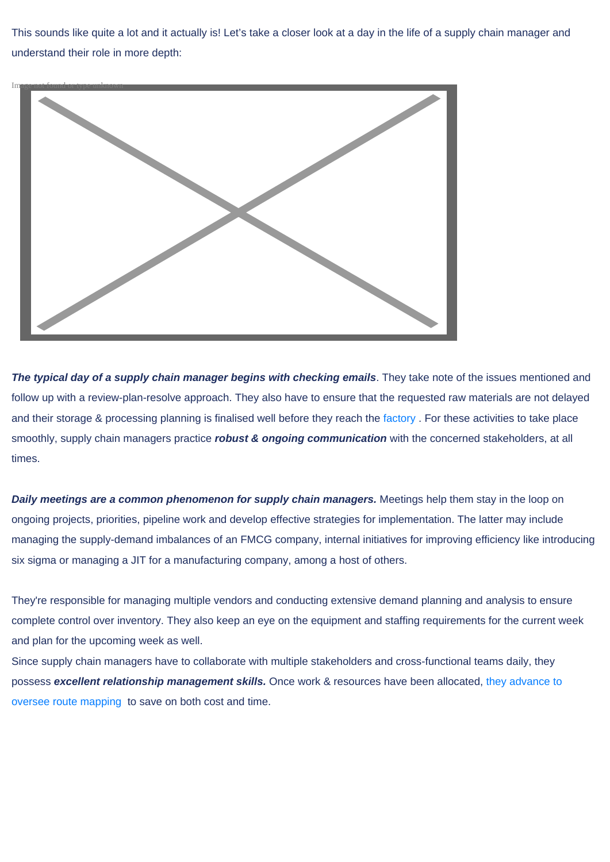This sounds like quite a lot and it actually is! Let's take a closer look at a day in the life of a supply chain manager and understand their role in more depth:



**The typical day of a supply chain manager begins with checking emails**. They take note of the issues mentioned and follow up with a review-plan-resolve approach. They also have to ensure that the requested raw materials are not delayed and their storage & processing planning is finalised well before they reach the factory. For these activities to take place smoothly, supply chain managers practice **robust & ongoing communication** with the concerned stakeholders, at all times.

**Daily meetings are a common phenomenon for supply chain managers.** Meetings help them stay in the loop on ongoing projects, priorities, pipeline work and develop effective strategies for implementation. The latter may include managing the supply-demand imbalances of an FMCG company, internal initiatives for improving efficiency like introducing six sigma or managing a JIT for a manufacturing company, among a host of others.

They're responsible for managing multiple vendors and conducting extensive demand planning and analysis to ensure complete control over inventory. They also keep an eye on the equipment and staffing requirements for the current week and plan for the upcoming week as well.

Since supply chain managers have to collaborate with multiple stakeholders and cross-functional teams daily, they possess **excellent relationship management skills.** Once work & resources have been allocated, they advance to oversee route mapping to save on both cost and time.